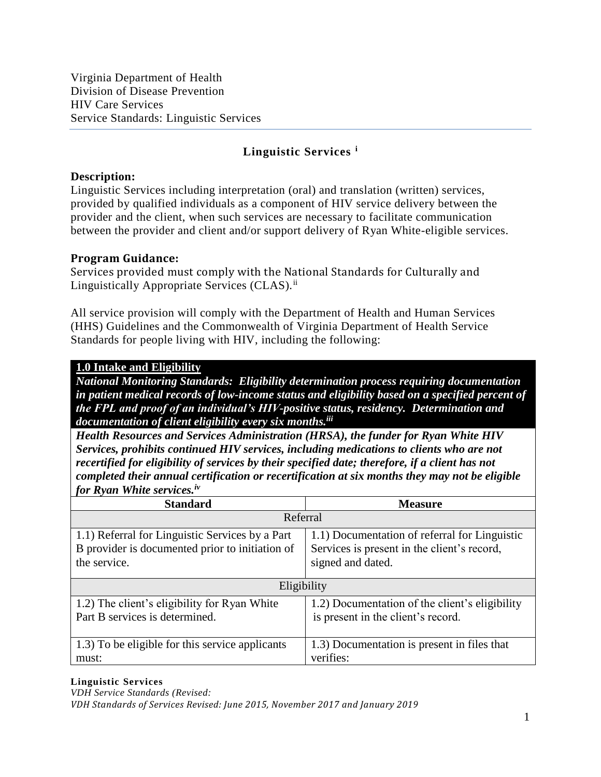# **Description:**

Linguistic Services including interpretation (oral) and translation (written) services, provided by qualified individuals as a component of HIV service delivery between the provider and the client, when such services are necessary to facilitate communication between the provider and client and/or support delivery of Ryan White-eligible services.

### **Program Guidance:**

Services provided must comply with the National Standards for Culturally and Linguistically Appropriate Services (CLAS).<sup>ii</sup>

All service provision will comply with the Department of Health and Human Services (HHS) Guidelines and the Commonwealth of Virginia Department of Health Service Standards for people living with HIV, including the following:

# **1.0 Intake and Eligibility**

*National Monitoring Standards: Eligibility determination process requiring documentation in patient medical records of low-income status and eligibility based on a specified percent of the FPL and proof of an individual's HIV-positive status, residency. Determination and documentation of client eligibility every six months. iii*

*Health Resources and Services Administration (HRSA), the funder for Ryan White HIV Services, prohibits continued HIV services, including medications to clients who are not recertified for eligibility of services by their specified date; therefore, if a client has not completed their annual certification or recertification at six months they may not be eligible for Ryan White services.iv*

| <b>Standard</b>                                 | <b>Measure</b>                                 |  |
|-------------------------------------------------|------------------------------------------------|--|
| Referral                                        |                                                |  |
| 1.1) Referral for Linguistic Services by a Part | 1.1) Documentation of referral for Linguistic  |  |
| B provider is documented prior to initiation of | Services is present in the client's record,    |  |
| the service.                                    | signed and dated.                              |  |
|                                                 |                                                |  |
| Eligibility                                     |                                                |  |
| 1.2) The client's eligibility for Ryan White    | 1.2) Documentation of the client's eligibility |  |
| Part B services is determined.                  | is present in the client's record.             |  |
|                                                 |                                                |  |
| 1.3) To be eligible for this service applicants | 1.3) Documentation is present in files that    |  |
| must:                                           | verifies:                                      |  |

#### **Linguistic Services**

*VDH Service Standards (Revised: VDH Standards of Services Revised: June 2015, November 2017 and January 2019*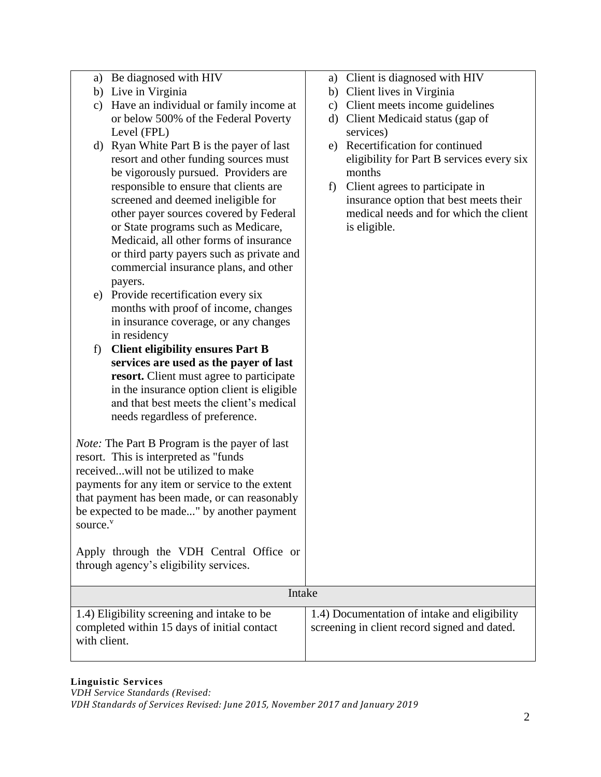|                      | a) Be diagnosed with HIV                             |               | a) Client is diagnosed with HIV              |
|----------------------|------------------------------------------------------|---------------|----------------------------------------------|
|                      | b) Live in Virginia                                  |               | b) Client lives in Virginia                  |
| c)                   | Have an individual or family income at               | $\mathbf{c})$ | Client meets income guidelines               |
|                      | or below 500% of the Federal Poverty                 |               | d) Client Medicaid status (gap of            |
|                      | Level (FPL)                                          |               | services)                                    |
|                      | d) Ryan White Part B is the payer of last            |               | e) Recertification for continued             |
|                      | resort and other funding sources must                |               | eligibility for Part B services every six    |
|                      | be vigorously pursued. Providers are                 |               | months                                       |
|                      | responsible to ensure that clients are               | f)            | Client agrees to participate in              |
|                      | screened and deemed ineligible for                   |               | insurance option that best meets their       |
|                      | other payer sources covered by Federal               |               | medical needs and for which the client       |
|                      | or State programs such as Medicare,                  |               | is eligible.                                 |
|                      | Medicaid, all other forms of insurance               |               |                                              |
|                      | or third party payers such as private and            |               |                                              |
|                      | commercial insurance plans, and other                |               |                                              |
|                      | payers.                                              |               |                                              |
| e)                   | Provide recertification every six                    |               |                                              |
|                      | months with proof of income, changes                 |               |                                              |
|                      | in insurance coverage, or any changes                |               |                                              |
|                      | in residency                                         |               |                                              |
| f)                   | <b>Client eligibility ensures Part B</b>             |               |                                              |
|                      | services are used as the payer of last               |               |                                              |
|                      | resort. Client must agree to participate             |               |                                              |
|                      | in the insurance option client is eligible           |               |                                              |
|                      | and that best meets the client's medical             |               |                                              |
|                      | needs regardless of preference.                      |               |                                              |
|                      |                                                      |               |                                              |
|                      | <i>Note:</i> The Part B Program is the payer of last |               |                                              |
|                      | resort. This is interpreted as "funds"               |               |                                              |
|                      | receivedwill not be utilized to make                 |               |                                              |
|                      | payments for any item or service to the extent       |               |                                              |
|                      | that payment has been made, or can reasonably        |               |                                              |
|                      | be expected to be made" by another payment           |               |                                              |
| source. <sup>v</sup> |                                                      |               |                                              |
|                      |                                                      |               |                                              |
|                      | Apply through the VDH Central Office or              |               |                                              |
|                      | through agency's eligibility services.               |               |                                              |
|                      |                                                      |               |                                              |
|                      | Intake                                               |               |                                              |
|                      | 1.4) Eligibility screening and intake to be          |               | 1.4) Documentation of intake and eligibility |
|                      | completed within 15 days of initial contact          |               | screening in client record signed and dated. |
| with client.         |                                                      |               |                                              |
|                      |                                                      |               |                                              |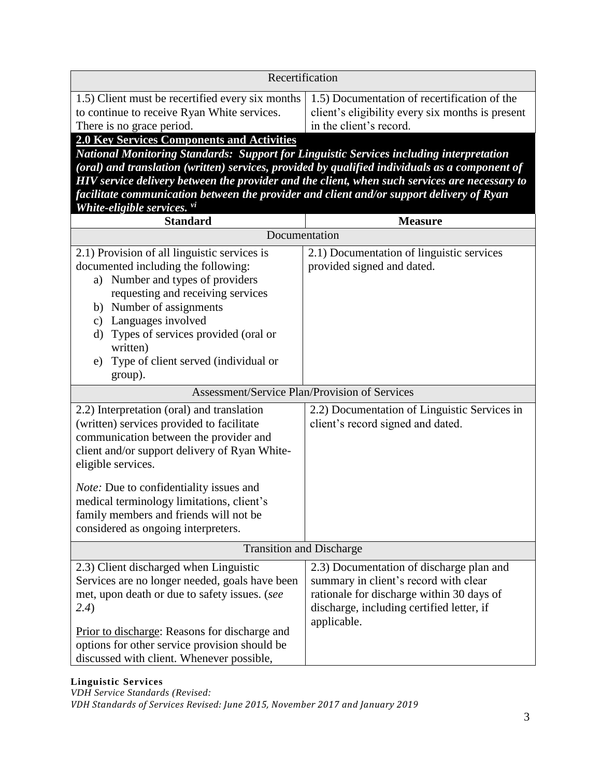| 1.5) Documentation of recertification of the<br>client's eligibility every six months is present<br>in the client's record.                                                                                                                                                                                                                                                                                                                                                |  |  |
|----------------------------------------------------------------------------------------------------------------------------------------------------------------------------------------------------------------------------------------------------------------------------------------------------------------------------------------------------------------------------------------------------------------------------------------------------------------------------|--|--|
| 2.0 Key Services Components and Activities<br><b>National Monitoring Standards: Support for Linguistic Services including interpretation</b><br>(oral) and translation (written) services, provided by qualified individuals as a component of<br>HIV service delivery between the provider and the client, when such services are necessary to<br>facilitate communication between the provider and client and/or support delivery of Ryan<br>White-eligible services. vi |  |  |
| <b>Measure</b>                                                                                                                                                                                                                                                                                                                                                                                                                                                             |  |  |
| Documentation                                                                                                                                                                                                                                                                                                                                                                                                                                                              |  |  |
| 2.1) Documentation of linguistic services<br>provided signed and dated.                                                                                                                                                                                                                                                                                                                                                                                                    |  |  |
| Assessment/Service Plan/Provision of Services                                                                                                                                                                                                                                                                                                                                                                                                                              |  |  |
| 2.2) Documentation of Linguistic Services in<br>client's record signed and dated.                                                                                                                                                                                                                                                                                                                                                                                          |  |  |
|                                                                                                                                                                                                                                                                                                                                                                                                                                                                            |  |  |
| <b>Transition and Discharge</b><br>2.3) Client discharged when Linguistic                                                                                                                                                                                                                                                                                                                                                                                                  |  |  |
| 2.3) Documentation of discharge plan and<br>summary in client's record with clear<br>rationale for discharge within 30 days of<br>discharge, including certified letter, if<br>applicable.                                                                                                                                                                                                                                                                                 |  |  |
|                                                                                                                                                                                                                                                                                                                                                                                                                                                                            |  |  |

*VDH Service Standards (Revised: VDH Standards of Services Revised: June 2015, November 2017 and January 2019*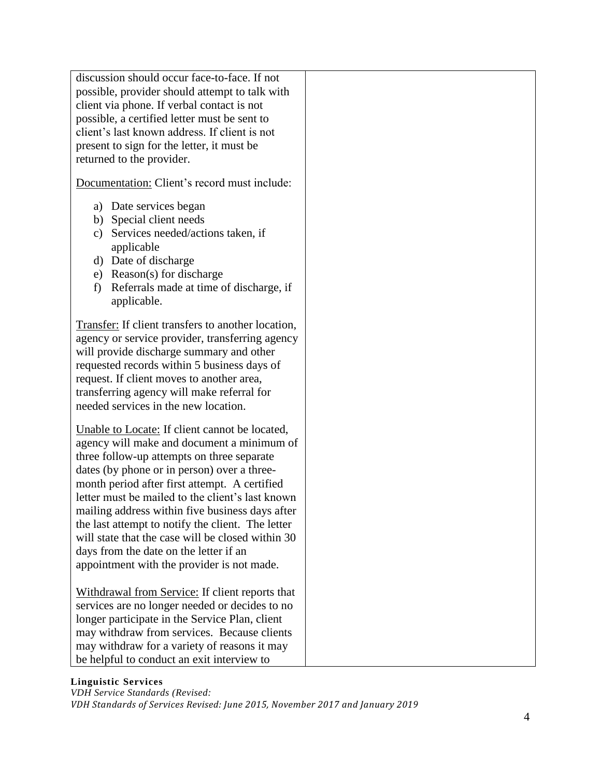| discussion should occur face-to-face. If not<br>possible, provider should attempt to talk with<br>client via phone. If verbal contact is not<br>possible, a certified letter must be sent to<br>client's last known address. If client is not<br>present to sign for the letter, it must be<br>returned to the provider.                                                                                                                                                                                                                            |  |
|-----------------------------------------------------------------------------------------------------------------------------------------------------------------------------------------------------------------------------------------------------------------------------------------------------------------------------------------------------------------------------------------------------------------------------------------------------------------------------------------------------------------------------------------------------|--|
| Documentation: Client's record must include:                                                                                                                                                                                                                                                                                                                                                                                                                                                                                                        |  |
| Date services began<br>a)<br>b) Special client needs<br>Services needed/actions taken, if<br>c)<br>applicable<br>Date of discharge<br>d)<br>Reason(s) for discharge<br>e)<br>Referrals made at time of discharge, if<br>f)<br>applicable.                                                                                                                                                                                                                                                                                                           |  |
| Transfer: If client transfers to another location,<br>agency or service provider, transferring agency<br>will provide discharge summary and other<br>requested records within 5 business days of<br>request. If client moves to another area,<br>transferring agency will make referral for<br>needed services in the new location.                                                                                                                                                                                                                 |  |
| Unable to Locate: If client cannot be located,<br>agency will make and document a minimum of<br>three follow-up attempts on three separate<br>dates (by phone or in person) over a three-<br>month period after first attempt. A certified<br>letter must be mailed to the client's last known<br>mailing address within five business days after<br>the last attempt to notify the client. The letter<br>will state that the case will be closed within 30<br>days from the date on the letter if an<br>appointment with the provider is not made. |  |
| Withdrawal from Service: If client reports that<br>services are no longer needed or decides to no<br>longer participate in the Service Plan, client<br>may withdraw from services. Because clients<br>may withdraw for a variety of reasons it may<br>be helpful to conduct an exit interview to                                                                                                                                                                                                                                                    |  |

*VDH Service Standards (Revised: VDH Standards of Services Revised: June 2015, November 2017 and January 2019*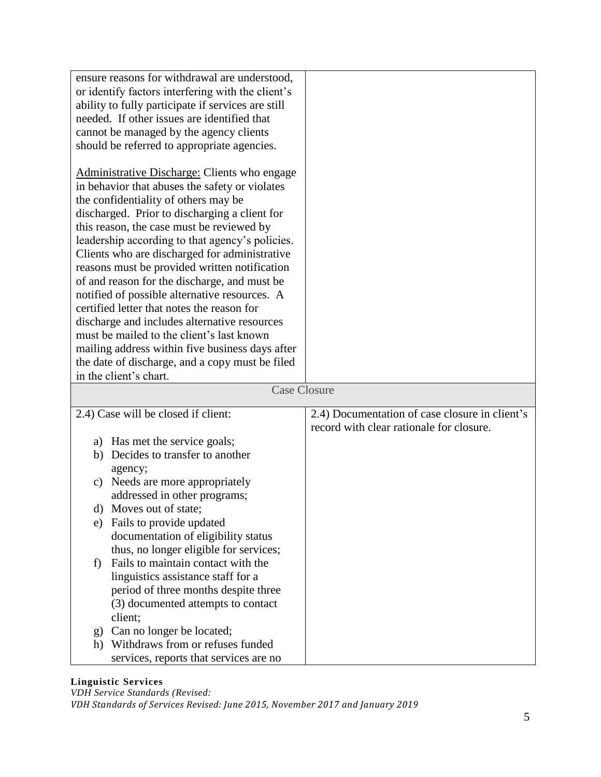| ensure reasons for withdrawal are understood,<br>or identify factors interfering with the client's<br>ability to fully participate if services are still<br>needed. If other issues are identified that<br>cannot be managed by the agency clients<br>should be referred to appropriate agencies.                                                                                                                                                                                                                                                                                                                                                                                                                                                                     |                                                                                            |
|-----------------------------------------------------------------------------------------------------------------------------------------------------------------------------------------------------------------------------------------------------------------------------------------------------------------------------------------------------------------------------------------------------------------------------------------------------------------------------------------------------------------------------------------------------------------------------------------------------------------------------------------------------------------------------------------------------------------------------------------------------------------------|--------------------------------------------------------------------------------------------|
| Administrative Discharge: Clients who engage<br>in behavior that abuses the safety or violates<br>the confidentiality of others may be<br>discharged. Prior to discharging a client for<br>this reason, the case must be reviewed by<br>leadership according to that agency's policies.<br>Clients who are discharged for administrative<br>reasons must be provided written notification<br>of and reason for the discharge, and must be<br>notified of possible alternative resources. A<br>certified letter that notes the reason for<br>discharge and includes alternative resources<br>must be mailed to the client's last known<br>mailing address within five business days after<br>the date of discharge, and a copy must be filed<br>in the client's chart. |                                                                                            |
| <b>Case Closure</b>                                                                                                                                                                                                                                                                                                                                                                                                                                                                                                                                                                                                                                                                                                                                                   |                                                                                            |
| 2.4) Case will be closed if client:                                                                                                                                                                                                                                                                                                                                                                                                                                                                                                                                                                                                                                                                                                                                   | 2.4) Documentation of case closure in client's<br>record with clear rationale for closure. |
| a) Has met the service goals;                                                                                                                                                                                                                                                                                                                                                                                                                                                                                                                                                                                                                                                                                                                                         |                                                                                            |
| Decides to transfer to another<br>b)                                                                                                                                                                                                                                                                                                                                                                                                                                                                                                                                                                                                                                                                                                                                  |                                                                                            |
| agency;                                                                                                                                                                                                                                                                                                                                                                                                                                                                                                                                                                                                                                                                                                                                                               |                                                                                            |
|                                                                                                                                                                                                                                                                                                                                                                                                                                                                                                                                                                                                                                                                                                                                                                       |                                                                                            |
| Needs are more appropriately<br>c)                                                                                                                                                                                                                                                                                                                                                                                                                                                                                                                                                                                                                                                                                                                                    |                                                                                            |
| addressed in other programs;                                                                                                                                                                                                                                                                                                                                                                                                                                                                                                                                                                                                                                                                                                                                          |                                                                                            |
| $\mathbf{d}$<br>Moves out of state;                                                                                                                                                                                                                                                                                                                                                                                                                                                                                                                                                                                                                                                                                                                                   |                                                                                            |
| Fails to provide updated<br>e)                                                                                                                                                                                                                                                                                                                                                                                                                                                                                                                                                                                                                                                                                                                                        |                                                                                            |
| documentation of eligibility status                                                                                                                                                                                                                                                                                                                                                                                                                                                                                                                                                                                                                                                                                                                                   |                                                                                            |
| thus, no longer eligible for services;                                                                                                                                                                                                                                                                                                                                                                                                                                                                                                                                                                                                                                                                                                                                |                                                                                            |
| Fails to maintain contact with the<br>f)                                                                                                                                                                                                                                                                                                                                                                                                                                                                                                                                                                                                                                                                                                                              |                                                                                            |
| linguistics assistance staff for a                                                                                                                                                                                                                                                                                                                                                                                                                                                                                                                                                                                                                                                                                                                                    |                                                                                            |
| period of three months despite three                                                                                                                                                                                                                                                                                                                                                                                                                                                                                                                                                                                                                                                                                                                                  |                                                                                            |
| (3) documented attempts to contact                                                                                                                                                                                                                                                                                                                                                                                                                                                                                                                                                                                                                                                                                                                                    |                                                                                            |
| client;                                                                                                                                                                                                                                                                                                                                                                                                                                                                                                                                                                                                                                                                                                                                                               |                                                                                            |
| Can no longer be located;<br>g)                                                                                                                                                                                                                                                                                                                                                                                                                                                                                                                                                                                                                                                                                                                                       |                                                                                            |
| Withdraws from or refuses funded<br>h)                                                                                                                                                                                                                                                                                                                                                                                                                                                                                                                                                                                                                                                                                                                                |                                                                                            |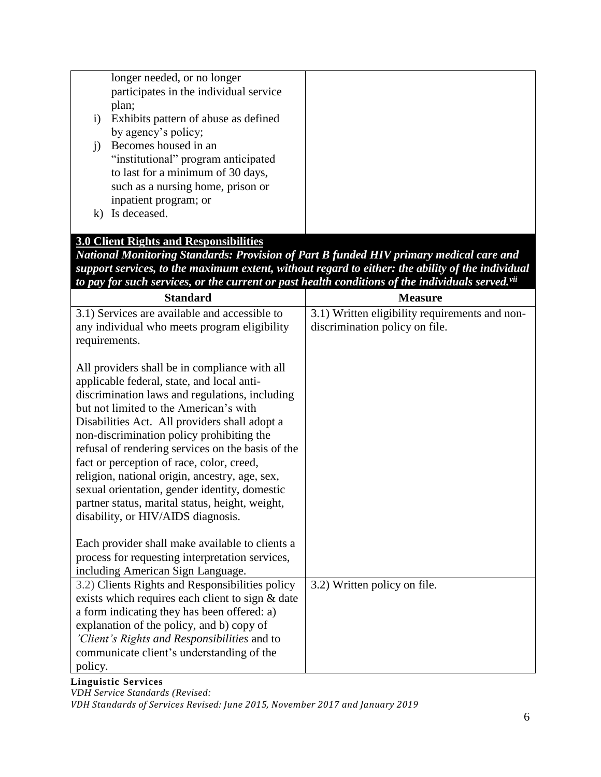|              | longer needed, or no longer<br>participates in the individual service                                                                                                                                                                                                                                                                                                                                                                                                                                                                         |                                                                                                              |
|--------------|-----------------------------------------------------------------------------------------------------------------------------------------------------------------------------------------------------------------------------------------------------------------------------------------------------------------------------------------------------------------------------------------------------------------------------------------------------------------------------------------------------------------------------------------------|--------------------------------------------------------------------------------------------------------------|
|              | plan;                                                                                                                                                                                                                                                                                                                                                                                                                                                                                                                                         |                                                                                                              |
| $\mathbf{i}$ | Exhibits pattern of abuse as defined                                                                                                                                                                                                                                                                                                                                                                                                                                                                                                          |                                                                                                              |
|              | by agency's policy;                                                                                                                                                                                                                                                                                                                                                                                                                                                                                                                           |                                                                                                              |
| $\mathbf{j}$ | Becomes housed in an                                                                                                                                                                                                                                                                                                                                                                                                                                                                                                                          |                                                                                                              |
|              | "institutional" program anticipated                                                                                                                                                                                                                                                                                                                                                                                                                                                                                                           |                                                                                                              |
|              | to last for a minimum of 30 days,                                                                                                                                                                                                                                                                                                                                                                                                                                                                                                             |                                                                                                              |
|              | such as a nursing home, prison or                                                                                                                                                                                                                                                                                                                                                                                                                                                                                                             |                                                                                                              |
|              | inpatient program; or                                                                                                                                                                                                                                                                                                                                                                                                                                                                                                                         |                                                                                                              |
| $\bf k$      | Is deceased.                                                                                                                                                                                                                                                                                                                                                                                                                                                                                                                                  |                                                                                                              |
|              |                                                                                                                                                                                                                                                                                                                                                                                                                                                                                                                                               |                                                                                                              |
|              | <b>3.0 Client Rights and Responsibilities</b>                                                                                                                                                                                                                                                                                                                                                                                                                                                                                                 |                                                                                                              |
|              |                                                                                                                                                                                                                                                                                                                                                                                                                                                                                                                                               | National Monitoring Standards: Provision of Part B funded HIV primary medical care and                       |
|              |                                                                                                                                                                                                                                                                                                                                                                                                                                                                                                                                               | support services, to the maximum extent, without regard to either: the ability of the individual             |
|              |                                                                                                                                                                                                                                                                                                                                                                                                                                                                                                                                               | to pay for such services, or the current or past health conditions of the individuals served. <sup>vii</sup> |
|              | <b>Standard</b>                                                                                                                                                                                                                                                                                                                                                                                                                                                                                                                               | <b>Measure</b>                                                                                               |
|              | 3.1) Services are available and accessible to                                                                                                                                                                                                                                                                                                                                                                                                                                                                                                 | $\overline{3.1}$ ) Written eligibility requirements and non-                                                 |
|              | any individual who meets program eligibility                                                                                                                                                                                                                                                                                                                                                                                                                                                                                                  | discrimination policy on file.                                                                               |
|              | requirements.                                                                                                                                                                                                                                                                                                                                                                                                                                                                                                                                 |                                                                                                              |
|              | All providers shall be in compliance with all<br>applicable federal, state, and local anti-<br>discrimination laws and regulations, including<br>but not limited to the American's with<br>Disabilities Act. All providers shall adopt a<br>non-discrimination policy prohibiting the<br>refusal of rendering services on the basis of the<br>fact or perception of race, color, creed,<br>religion, national origin, ancestry, age, sex,<br>sexual orientation, gender identity, domestic<br>partner status, marital status, height, weight, |                                                                                                              |
|              | disability, or HIV/AIDS diagnosis.                                                                                                                                                                                                                                                                                                                                                                                                                                                                                                            |                                                                                                              |
|              | Each provider shall make available to clients a                                                                                                                                                                                                                                                                                                                                                                                                                                                                                               |                                                                                                              |
|              | process for requesting interpretation services,                                                                                                                                                                                                                                                                                                                                                                                                                                                                                               |                                                                                                              |
|              | including American Sign Language.                                                                                                                                                                                                                                                                                                                                                                                                                                                                                                             |                                                                                                              |
|              | 3.2) Clients Rights and Responsibilities policy                                                                                                                                                                                                                                                                                                                                                                                                                                                                                               | 3.2) Written policy on file.                                                                                 |
|              | exists which requires each client to sign & date                                                                                                                                                                                                                                                                                                                                                                                                                                                                                              |                                                                                                              |
|              | a form indicating they has been offered: a)                                                                                                                                                                                                                                                                                                                                                                                                                                                                                                   |                                                                                                              |
|              | explanation of the policy, and b) copy of                                                                                                                                                                                                                                                                                                                                                                                                                                                                                                     |                                                                                                              |
|              | 'Client's Rights and Responsibilities and to                                                                                                                                                                                                                                                                                                                                                                                                                                                                                                  |                                                                                                              |
|              | communicate client's understanding of the                                                                                                                                                                                                                                                                                                                                                                                                                                                                                                     |                                                                                                              |
| policy.      |                                                                                                                                                                                                                                                                                                                                                                                                                                                                                                                                               |                                                                                                              |

*VDH Service Standards (Revised:* 

*VDH Standards of Services Revised: June 2015, November 2017 and January 2019*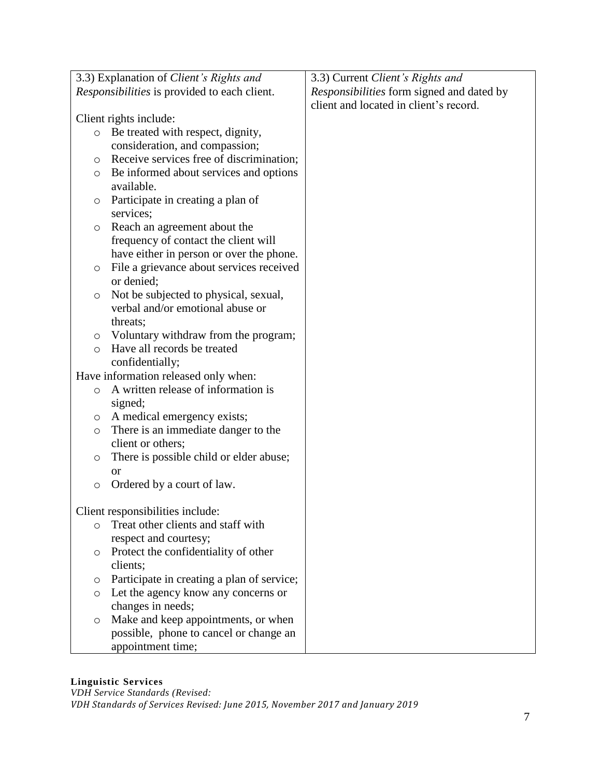|         | 3.3) Explanation of Client's Rights and             | 3.3) Current Client's Rights and          |
|---------|-----------------------------------------------------|-------------------------------------------|
|         | <i>Responsibilities</i> is provided to each client. | Responsibilities form signed and dated by |
|         |                                                     | client and located in client's record.    |
|         | Client rights include:                              |                                           |
| $\circ$ | Be treated with respect, dignity,                   |                                           |
|         | consideration, and compassion;                      |                                           |
| O       | Receive services free of discrimination;            |                                           |
| $\circ$ | Be informed about services and options              |                                           |
|         | available.                                          |                                           |
| O       | Participate in creating a plan of                   |                                           |
|         | services;                                           |                                           |
| $\circ$ | Reach an agreement about the                        |                                           |
|         | frequency of contact the client will                |                                           |
|         | have either in person or over the phone.            |                                           |
| $\circ$ | File a grievance about services received            |                                           |
|         | or denied;                                          |                                           |
| O       | Not be subjected to physical, sexual,               |                                           |
|         | verbal and/or emotional abuse or                    |                                           |
|         | threats;                                            |                                           |
| O       | Voluntary withdraw from the program;                |                                           |
| $\circ$ | Have all records be treated                         |                                           |
|         | confidentially;                                     |                                           |
|         | Have information released only when:                |                                           |
| $\circ$ | A written release of information is                 |                                           |
|         | signed;                                             |                                           |
| O       | A medical emergency exists;                         |                                           |
| O       | There is an immediate danger to the                 |                                           |
|         | client or others;                                   |                                           |
| $\circ$ | There is possible child or elder abuse;             |                                           |
|         | <b>or</b>                                           |                                           |
| $\circ$ | Ordered by a court of law.                          |                                           |
|         |                                                     |                                           |
|         | Client responsibilities include:                    |                                           |
| O       | Treat other clients and staff with                  |                                           |
|         | respect and courtesy;                               |                                           |
| O       | Protect the confidentiality of other                |                                           |
|         | clients;                                            |                                           |
| O       | Participate in creating a plan of service;          |                                           |
| $\circ$ | Let the agency know any concerns or                 |                                           |
|         | changes in needs;                                   |                                           |
| O       | Make and keep appointments, or when                 |                                           |
|         | possible, phone to cancel or change an              |                                           |
|         | appointment time;                                   |                                           |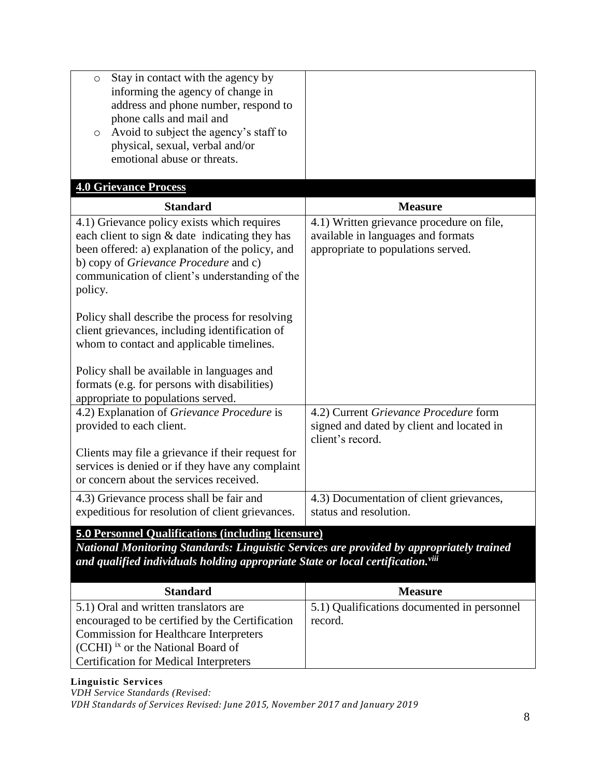| Stay in contact with the agency by<br>$\circ$<br>informing the agency of change in<br>address and phone number, respond to<br>phone calls and mail and<br>Avoid to subject the agency's staff to<br>$\circ$<br>physical, sexual, verbal and/or<br>emotional abuse or threats.      |                                                                                                                       |  |
|------------------------------------------------------------------------------------------------------------------------------------------------------------------------------------------------------------------------------------------------------------------------------------|-----------------------------------------------------------------------------------------------------------------------|--|
| <b>4.0 Grievance Process</b>                                                                                                                                                                                                                                                       |                                                                                                                       |  |
| <b>Standard</b>                                                                                                                                                                                                                                                                    | <b>Measure</b>                                                                                                        |  |
| 4.1) Grievance policy exists which requires<br>each client to sign $&$ date indicating they has<br>been offered: a) explanation of the policy, and<br>b) copy of Grievance Procedure and c)<br>communication of client's understanding of the<br>policy.                           | 4.1) Written grievance procedure on file,<br>available in languages and formats<br>appropriate to populations served. |  |
| Policy shall describe the process for resolving<br>client grievances, including identification of<br>whom to contact and applicable timelines.<br>Policy shall be available in languages and<br>formats (e.g. for persons with disabilities)<br>appropriate to populations served. |                                                                                                                       |  |
| 4.2) Explanation of Grievance Procedure is<br>provided to each client.<br>Clients may file a grievance if their request for<br>services is denied or if they have any complaint                                                                                                    | 4.2) Current Grievance Procedure form<br>signed and dated by client and located in<br>client's record.                |  |
| or concern about the services received.                                                                                                                                                                                                                                            |                                                                                                                       |  |
| 4.3) Grievance process shall be fair and<br>expeditious for resolution of client grievances.                                                                                                                                                                                       | 4.3) Documentation of client grievances,<br>status and resolution.                                                    |  |
| <b>5.0 Personnel Qualifications (including licensure)</b><br>National Monitoring Standards: Linguistic Services are provided by appropriately trained<br>and qualified individuals holding appropriate State or local certification. <sup>viii</sup>                               |                                                                                                                       |  |
| <b>Standard</b>                                                                                                                                                                                                                                                                    | <b>Measure</b>                                                                                                        |  |
| 5.1) Oral and written translators are<br>encouraged to be certified by the Certification<br><b>Commission for Healthcare Interpreters</b><br>(CCHI) ix or the National Board of<br><b>Certification for Medical Interpreters</b>                                                   | 5.1) Qualifications documented in personnel<br>record.                                                                |  |

*VDH Service Standards (Revised:* 

*VDH Standards of Services Revised: June 2015, November 2017 and January 2019*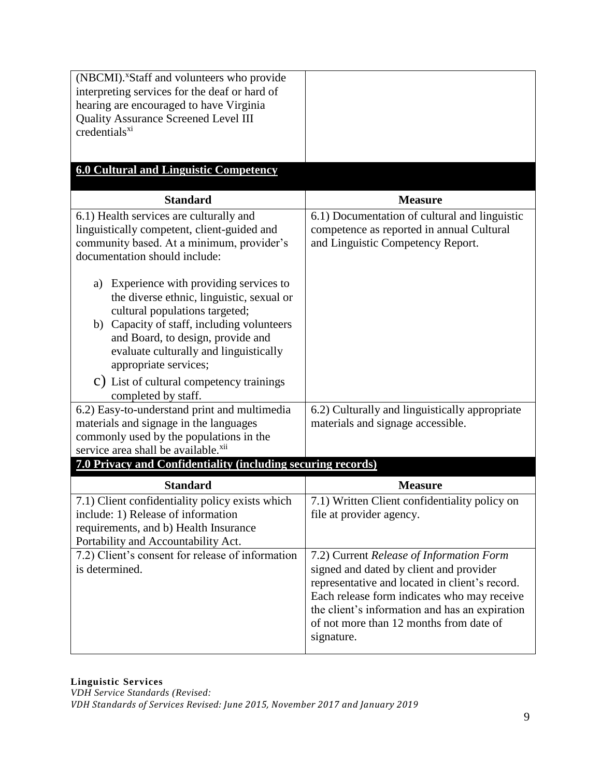| (NBCMI). <sup>x</sup> Staff and volunteers who provide<br>interpreting services for the deaf or hard of<br>hearing are encouraged to have Virginia<br>Quality Assurance Screened Level III<br>credentials <sup>xi</sup>                                                          |                                                                                                                                                                                                                                                                                                 |  |
|----------------------------------------------------------------------------------------------------------------------------------------------------------------------------------------------------------------------------------------------------------------------------------|-------------------------------------------------------------------------------------------------------------------------------------------------------------------------------------------------------------------------------------------------------------------------------------------------|--|
| <b>6.0 Cultural and Linguistic Competency</b>                                                                                                                                                                                                                                    |                                                                                                                                                                                                                                                                                                 |  |
| <b>Standard</b>                                                                                                                                                                                                                                                                  | <b>Measure</b>                                                                                                                                                                                                                                                                                  |  |
| 6.1) Health services are culturally and<br>linguistically competent, client-guided and<br>community based. At a minimum, provider's<br>documentation should include:                                                                                                             | 6.1) Documentation of cultural and linguistic<br>competence as reported in annual Cultural<br>and Linguistic Competency Report.                                                                                                                                                                 |  |
| Experience with providing services to<br>a)<br>the diverse ethnic, linguistic, sexual or<br>cultural populations targeted;<br>b) Capacity of staff, including volunteers<br>and Board, to design, provide and<br>evaluate culturally and linguistically<br>appropriate services; |                                                                                                                                                                                                                                                                                                 |  |
| C) List of cultural competency trainings<br>completed by staff.                                                                                                                                                                                                                  |                                                                                                                                                                                                                                                                                                 |  |
| 6.2) Easy-to-understand print and multimedia<br>materials and signage in the languages<br>commonly used by the populations in the<br>service area shall be available. <sup>xii</sup>                                                                                             | 6.2) Culturally and linguistically appropriate<br>materials and signage accessible.                                                                                                                                                                                                             |  |
| 7.0 Privacy and Confidentiality (including securing records)                                                                                                                                                                                                                     |                                                                                                                                                                                                                                                                                                 |  |
| <b>Standard</b>                                                                                                                                                                                                                                                                  | <b>Measure</b>                                                                                                                                                                                                                                                                                  |  |
| 7.1) Client confidentiality policy exists which<br>include: 1) Release of information<br>requirements, and b) Health Insurance<br>Portability and Accountability Act.                                                                                                            | 7.1) Written Client confidentiality policy on<br>file at provider agency.                                                                                                                                                                                                                       |  |
| 7.2) Client's consent for release of information<br>is determined.                                                                                                                                                                                                               | 7.2) Current Release of Information Form<br>signed and dated by client and provider<br>representative and located in client's record.<br>Each release form indicates who may receive<br>the client's information and has an expiration<br>of not more than 12 months from date of<br>signature. |  |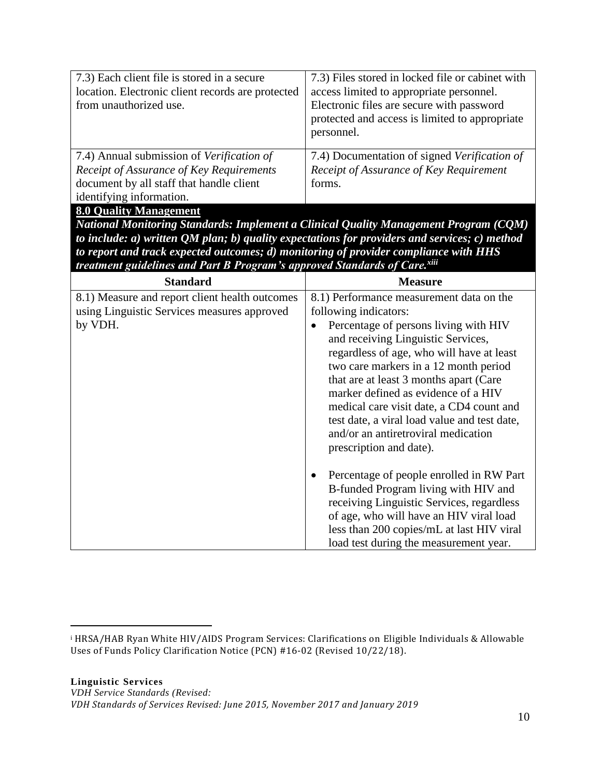| 7.3) Each client file is stored in a secure<br>location. Electronic client records are protected<br>from unauthorized use. | 7.3) Files stored in locked file or cabinet with<br>access limited to appropriate personnel.<br>Electronic files are secure with password<br>protected and access is limited to appropriate<br>personnel. |  |
|----------------------------------------------------------------------------------------------------------------------------|-----------------------------------------------------------------------------------------------------------------------------------------------------------------------------------------------------------|--|
| 7.4) Annual submission of Verification of                                                                                  | 7.4) Documentation of signed Verification of                                                                                                                                                              |  |
| Receipt of Assurance of Key Requirements                                                                                   | Receipt of Assurance of Key Requirement                                                                                                                                                                   |  |
| document by all staff that handle client                                                                                   | forms.                                                                                                                                                                                                    |  |
| identifying information.                                                                                                   |                                                                                                                                                                                                           |  |
| <b>8.0 Quality Management</b>                                                                                              |                                                                                                                                                                                                           |  |
| National Monitoring Standards: Implement a Clinical Quality Management Program (CQM)                                       |                                                                                                                                                                                                           |  |
| to include: a) written $\overline{QM}$ plan; b) quality expectations for providers and services; c) method                 |                                                                                                                                                                                                           |  |
| to report and track expected outcomes; d) monitoring of provider compliance with HHS                                       |                                                                                                                                                                                                           |  |

| treatment guidelines and Part B Program's approved Standards of Care.xiii                                |                                                                                                                                                                                                                                                                                                                                                                                                                                                                                       |  |
|----------------------------------------------------------------------------------------------------------|---------------------------------------------------------------------------------------------------------------------------------------------------------------------------------------------------------------------------------------------------------------------------------------------------------------------------------------------------------------------------------------------------------------------------------------------------------------------------------------|--|
| <b>Standard</b>                                                                                          | <b>Measure</b>                                                                                                                                                                                                                                                                                                                                                                                                                                                                        |  |
| 8.1) Measure and report client health outcomes<br>using Linguistic Services measures approved<br>by VDH. | 8.1) Performance measurement data on the<br>following indicators:<br>Percentage of persons living with HIV<br>and receiving Linguistic Services,<br>regardless of age, who will have at least<br>two care markers in a 12 month period<br>that are at least 3 months apart (Care<br>marker defined as evidence of a HIV<br>medical care visit date, a CD4 count and<br>test date, a viral load value and test date,<br>and/or an antiretroviral medication<br>prescription and date). |  |
|                                                                                                          | Percentage of people enrolled in RW Part<br>B-funded Program living with HIV and<br>receiving Linguistic Services, regardless<br>of age, who will have an HIV viral load<br>less than 200 copies/mL at last HIV viral<br>load test during the measurement year.                                                                                                                                                                                                                       |  |

 $\overline{a}$ 

<sup>i</sup> HRSA/HAB Ryan White HIV/AIDS Program Services: Clarifications on Eligible Individuals & Allowable Uses of Funds Policy Clarification Notice (PCN) #16-02 (Revised 10/22/18).